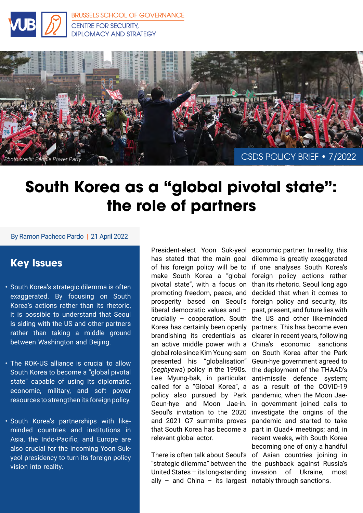

[BRUSSELS SCHOOL OF GOVERNANCE](https://brussels-school.be/research/security-diplomacy-and-strategy) CENTRE FOR SECURITY, DIPLOMACY AND STRATEGY



# **South Korea as a "global pivotal state": the role of partners**

### By Ramon Pacheco Pardo | 21 April 2022

## **Key Issues**

- South Korea's strategic dilemma is often exaggerated. By focusing on South Korea's actions rather than its rhetoric, it is possible to understand that Seoul is siding with the US and other partners rather than taking a middle ground between Washington and Beijing.
- The ROK-US alliance is crucial to allow South Korea to become a "global pivotal state" capable of using its diplomatic, economic, military, and soft power resources to strengthen its foreign policy.
- South Korea's partnerships with likeminded countries and institutions in Asia, the Indo-Pacific, and Europe are also crucial for the incoming Yoon Sukyeol presidency to turn its foreign policy vision into reality.

President-elect Yoon Suk-yeol economic partner. In reality, this has stated that the main goal dilemma is greatly exaggerated of his foreign policy will be to if one analyses South Korea's make South Korea a "global foreign policy actions rather pivotal state", with a focus on than its rhetoric. Seoul long ago promoting freedom, peace, and decided that when it comes to prosperity based on Seoul's foreign policy and security, its liberal democratic values and – crucially – cooperation. South Korea has certainly been openly brandishing its credentials as an active middle power with a global role since Kim Young-sam presented his "globalisation" (*seghyewa*) policy in the 1990s. Lee Myung-bak, in particular, called for a "Global Korea", a policy also pursued by Park Geun-hye and Moon Jae-in. Seoul's invitation to the 2020 and 2021 G7 summits proves that South Korea has become a relevant global actor.

"strategic dilemma" between the the pushback against Russia's United States – its long-standing invasion of Ukraine, most ally – and China – its largest notably through sanctions.

There is often talk about Seoul's of Asian countries joining in past, present, and future lies with the US and other like-minded partners. This has become even clearer in recent years, following China's economic sanctions on South Korea after the Park Geun-hye government agreed to the deployment of the THAAD's anti-missile defence system; as a result of the COVID-19 pandemic, when the Moon Jaein government joined calls to investigate the origins of the pandemic and started to take part in Quad+ meetings; and, in recent weeks, with South Korea becoming one of only a handful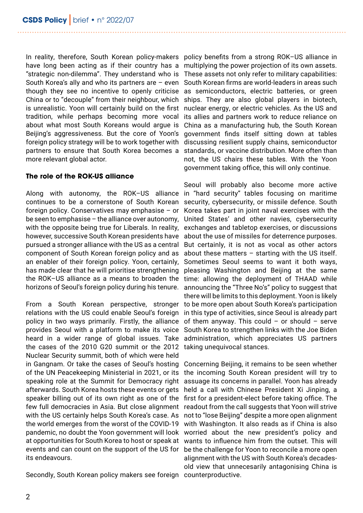In reality, therefore, South Korean policy-makers policy benefits from a strong ROK–US alliance in have long been acting as if their country has a "strategic non-dilemma". They understand who is South Korea's ally and who its partners are – even though they see no incentive to openly criticise China or to "decouple" from their neighbour, which is unrealistic. Yoon will certainly build on the first tradition, while perhaps becoming more vocal about what most South Koreans would argue is Beijing's aggressiveness. But the core of Yoon's foreign policy strategy will be to work together with partners to ensure that South Korea becomes a more relevant global actor.

### **The role of the ROK-US alliance**

Along with autonomy, the ROK–US alliance in "hard security" tables focusing on maritime continues to be a cornerstone of South Korean foreign policy. Conservatives may emphasise – or be seen to emphasise – the alliance over autonomy, with the opposite being true for Liberals. In reality, however, successive South Korean presidents have pursued a stronger alliance with the US as a central component of South Korean foreign policy and as an enabler of their foreign policy. Yoon, certainly, has made clear that he will prioritise strengthening the ROK–US alliance as a means to broaden the horizons of Seoul's foreign policy during his tenure.

From a South Korean perspective, stronger relations with the US could enable Seoul's foreign policy in two ways primarily. Firstly, the alliance provides Seoul with a platform to make its voice heard in a wider range of global issues. Take the cases of the 2010 G20 summit or the 2012 Nuclear Security summit, both of which were held in Gangnam. Or take the cases of Seoul's hosting of the UN Peacekeeping Ministerial in 2021, or its speaking role at the Summit for Democracy right afterwards. South Korea hosts these events or gets speaker billing out of its own right as one of the few full democracies in Asia. But close alignment readout from the call suggests that Yoon will strive with the US certainly helps South Korea's case. As the world emerges from the worst of the COVID-19 pandemic, no doubt the Yoon government will look worried about the new president's policy and at opportunities for South Korea to host or speak at wants to influence him from the outset. This will events and can count on the support of the US for be the challenge for Yoon to reconcile a more open its endeavours.

Secondly, South Korean policy makers see foreign counterproductive.

multiplying the power projection of its own assets. These assets not only refer to military capabilities: South Korean firms are world-leaders in areas such as semiconductors, electric batteries, or green ships. They are also global players in biotech, nuclear energy, or electric vehicles. As the US and its allies and partners work to reduce reliance on China as a manufacturing hub, the South Korean government finds itself sitting down at tables discussing resilient supply chains, semiconductor standards, or vaccine distribution. More often than not, the US chairs these tables. With the Yoon government taking office, this will only continue.

Seoul will probably also become more active security, cybersecurity, or missile defence. South Korea takes part in joint naval exercises with the United States' and other navies, cybersecurity exchanges and tabletop exercises, or discussions about the use of missiles for deterrence purposes. But certainly, it is not as vocal as other actors about these matters  $-$  starting with the US itself. Sometimes Seoul seems to want it both ways, pleasing Washington and Beijing at the same time: allowing the deployment of THAAD while announcing the "Three No's" policy to suggest that there will be limits to this deployment. Yoon is likely to be more open about South Korea's participation in this type of activities, since Seoul is already part of them anyway. This could  $-$  or should  $-$  serve South Korea to strengthen links with the Joe Biden administration, which appreciates US partners taking unequivocal stances.

Concerning Beijing, it remains to be seen whether the incoming South Korean president will try to assuage its concerns in parallel. Yoon has already held a call with Chinese President Xi Jinping, a first for a president-elect before taking office. The not to "lose Beijing" despite a more open alignment with Washington. It also reads as if China is also alignment with the US with South Korea's decadesold view that unnecesarily antagonising China is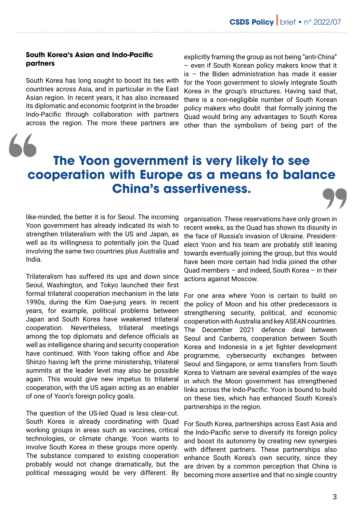### **South Korea's Asian and Indo-Pacific partners**

South Korea has long sought to boost its ties with countries across Asia, and in particular in the East Asian region. In recent years, it has also increased its diplomatic and economic footprint in the broader Indo-Pacific through collaboration with partners across the region. The more these partners are

explicitly framing the group as not being "anti-China" – even if South Korean policy makers know that it is – the Biden administration has made it easier for the Yoon government to slowly integrate South Korea in the group's structures. Having said that, there is a non-negligible number of South Korean policy makers who doubt that formally joining the Quad would bring any advantages to South Korea other than the symbolism of being part of the

# **The Yoon government is very likely to see cooperation with Europe as a means to balance China's assertiveness.**

like-minded, the better it is for Seoul. The incoming Yoon government has already indicated its wish to strengthen trilateralism with the US and Japan, as well as its willingness to potentially join the Quad involving the same two countries plus Australia and India.

Trilateralism has suffered its ups and down since Seoul, Washington, and Tokyo launched their first formal trilateral cooperation mechanism in the late 1990s, during the Kim Dae-jung years. In recent years, for example, political problems between Japan and South Korea have weakened trilateral cooperation. Nevertheless, trilateral meetings among the top diplomats and defence officials as well as intelligence sharing and security cooperation have continued. With Yoon taking office and Abe Shinzo having left the prime ministership, trilateral summits at the leader level may also be possible again. This would give new impetus to trilateral cooperation, with the US again acting as an enabler of one of Yoon's foreign policy goals.

The question of the US-led Quad is less clear-cut. South Korea is already coordinating with Quad working groups in areas such as vaccines, critical technologies, or climate change. Yoon wants to involve South Korea in these groups more openly. The substance compared to existing cooperation probably would not change dramatically, but the political messaging would be very different. By

organisation. These reservations have only grown in recent weeks, as the Quad has shown its disunity in the face of Russia's invasion of Ukraine. Presidentelect Yoon and his team are probably still leaning towards eventually joining the group, but this would have been more certain had India joined the other Quad members – and indeed, South Korea – in their actions against Moscow.

For one area where Yoon is certain to build on the policy of Moon and his other predecessors is strengthening security, political, and economic cooperation with Australia and key ASEAN countries. The December 2021 defence deal between Seoul and Canberra, cooperation between South Korea and Indonesia in a jet fighter development programme, cybersecurity exchanges between Seoul and Singapore, or arms transfers from South Korea to Vietnam are several examples of the ways in which the Moon government has strengthened links across the Indo-Pacific. Yoon is bound to build on these ties, which has enhanced South Korea's partnerships in the region.

For South Korea, partnerships across East Asia and the Indo-Pacific serve to diversify its foreign policy and boost its autonomy by creating new synergies with different partners. These partnerships also enhance South Korea's own security, since they are driven by a common perception that China is becoming more assertive and that no single country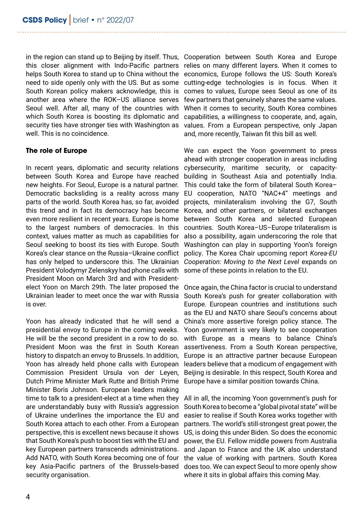in the region can stand up to Beijing by itself. Thus, Cooperation between South Korea and Europe this closer alignment with Indo-Pacific partners relies on many different layers. When it comes to helps South Korea to stand up to China without the need to side openly only with the US. But as some South Korean policy makers acknowledge, this is another area where the ROK–US alliance serves Seoul well. After all, many of the countries with which South Korea is boosting its diplomatic and security ties have stronger ties with Washington as well. This is no coincidence.

### **The role of Europe**

In recent years, diplomatic and security relations between South Korea and Europe have reached new heights. For Seoul, Europe is a natural partner. Democratic backsliding is a reality across many parts of the world. South Korea has, so far, avoided this trend and in fact its democracy has become even more resilient in recent years. Europe is home to the largest numbers of democracies. In this context, values matter as much as capabilities for Seoul seeking to boost its ties with Europe. South Korea's clear stance on the Russia–Ukraine conflict has only helped to underscore this. The Ukrainian President Volodymyr Zelenskyy had phone calls with President Moon on March 3rd and with Presidentelect Yoon on March 29th. The later proposed the Ukrainian leader to meet once the war with Russia is over.

Yoon has already indicated that he will send a presidential envoy to Europe in the coming weeks. He will be the second president in a row to do so. President Moon was the first in South Korean history to dispatch an envoy to Brussels. In addition, Yoon has already held phone calls with European Commission President Ursula von der Leyen, Dutch Prime Minister Mark Rutte and British Prime Minister Boris Johnson. European leaders making time to talk to a president-elect at a time when they are understandably busy with Russia's aggression of Ukraine underlines the importance the EU and South Korea attach to each other. From a European perspective, this is excellent news because it shows that South Korea's push to boost ties with the EU and key European partners transcends administrations. Add NATO, with South Korea becoming one of four key Asia-Pacific partners of the Brussels-based security organisation.

economics, Europe follows the US: South Korea's cutting-edge technologies is in focus. When it comes to values, Europe sees Seoul as one of its few partners that genuinely shares the same values. When it comes to security, South Korea combines capabilities, a willingness to cooperate, and, again, values. From a European perspective, only Japan and, more recently, Taiwan fit this bill as well.

We can expect the Yoon government to press ahead with stronger cooperation in areas including cybersecurity, maritime security, or capacitybuilding in Southeast Asia and potentially India. This could take the form of bilateral South Korea– EU cooperation, NATO "NAC+4" meetings and projects, minilateralism involving the G7, South Korea, and other partners, or bilateral exchanges between South Korea and selected European countries. South Korea–US–Europe trilateralism is also a possibility, again underscoring the role that Washington can play in supporting Yoon's foreign policy. The Korea Chair upcoming report *Korea-EU Cooperation: Moving to the Next Level* expands on some of these points in relation to the EU.

Once again, the China factor is crucial to understand South Korea's push for greater collaboration with Europe. European countries and institutions such as the EU and NATO share Seoul's concerns about China's more assertive foreign policy stance. The Yoon government is very likely to see cooperation with Europe as a means to balance China's assertiveness. From a South Korean perspective, Europe is an attractive partner because European leaders believe that a modicum of engagement with Beijing is desirable. In this respect, South Korea and Europe have a similar position towards China.

All in all, the incoming Yoon government's push for South Korea to become a "global pivotal state" will be easier to realise if South Korea works together with partners. The world's still-strongest great power, the US, is doing this under Biden. So does the economic power, the EU. Fellow middle powers from Australia and Japan to France and the UK also understand the value of working with partners. South Korea does too. We can expect Seoul to more openly show where it sits in global affairs this coming May.